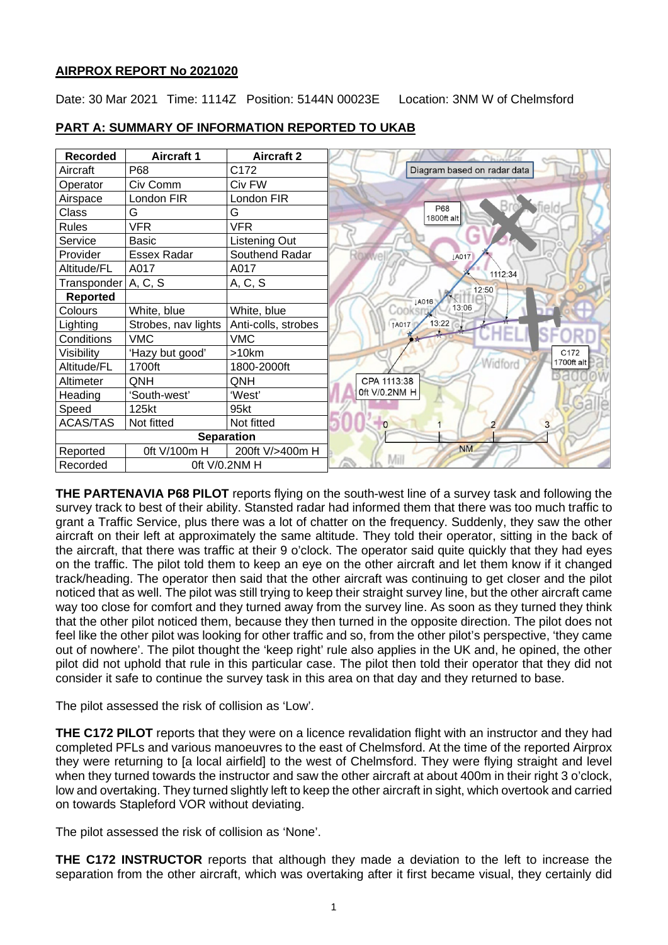# **AIRPROX REPORT No 2021020**

Date: 30 Mar 2021 Time: 1114Z Position: 5144N 00023E Location: 3NM W of Chelmsford

| <b>Recorded</b>           | <b>Aircraft 1</b>   | <b>Aircraft 2</b>   |                              |
|---------------------------|---------------------|---------------------|------------------------------|
| Aircraft                  | P68                 | C172                | Diagram based on radar data  |
| Operator                  | Civ Comm            | Civ FW              |                              |
| Airspace                  | London FIR          | London FIR          |                              |
| Class                     | G                   | G                   | P68<br>1800ft alt            |
| <b>Rules</b>              | <b>VFR</b>          | <b>VFR</b>          |                              |
| Service                   | <b>Basic</b>        | Listening Out       |                              |
| Provider                  | <b>Essex Radar</b>  | Southend Radar      | <b>IA017</b>                 |
| Altitude/FL               | A017                | A017                | 1112:34                      |
| Transponder   A, C, S     |                     | A, C, S             |                              |
| <b>Reported</b>           |                     |                     | 12:50<br>JA016               |
| Colours                   | White, blue         | White, blue         | 13:06<br>500                 |
| Lighting                  | Strobes, nav lights | Anti-colls, strobes | 13:22<br>↑A017               |
| Conditions                | <b>VMC</b>          | <b>VMC</b>          |                              |
| Visibility                | 'Hazy but good'     | $>10$ km            | C172                         |
| Altitude/FL               | 1700ft              | 1800-2000ft         | <b>Widford</b><br>1700ft alt |
| Altimeter                 | QNH                 | QNH                 | CPA 1113:38                  |
| Heading                   | 'South-west'        | 'West'              | 0ft V/0.2NM H                |
| Speed                     | 125kt               | 95kt                |                              |
| <b>ACAS/TAS</b>           | Not fitted          | Not fitted          | $\overline{3}$<br>$\Omega$   |
|                           |                     | <b>Separation</b>   |                              |
| Reported                  | 0ft V/100m H        | 200ft V/>400m H     | <b>NM</b>                    |
| Oft V/0.2NM H<br>Recorded |                     |                     | Mill                         |

# **PART A: SUMMARY OF INFORMATION REPORTED TO UKAB**

**THE PARTENAVIA P68 PILOT** reports flying on the south-west line of a survey task and following the survey track to best of their ability. Stansted radar had informed them that there was too much traffic to grant a Traffic Service, plus there was a lot of chatter on the frequency. Suddenly, they saw the other aircraft on their left at approximately the same altitude. They told their operator, sitting in the back of the aircraft, that there was traffic at their 9 o'clock. The operator said quite quickly that they had eyes on the traffic. The pilot told them to keep an eye on the other aircraft and let them know if it changed track/heading. The operator then said that the other aircraft was continuing to get closer and the pilot noticed that as well. The pilot was still trying to keep their straight survey line, but the other aircraft came way too close for comfort and they turned away from the survey line. As soon as they turned they think that the other pilot noticed them, because they then turned in the opposite direction. The pilot does not feel like the other pilot was looking for other traffic and so, from the other pilot's perspective, 'they came out of nowhere'. The pilot thought the 'keep right' rule also applies in the UK and, he opined, the other pilot did not uphold that rule in this particular case. The pilot then told their operator that they did not consider it safe to continue the survey task in this area on that day and they returned to base.

The pilot assessed the risk of collision as 'Low'.

**THE C172 PILOT** reports that they were on a licence revalidation flight with an instructor and they had completed PFLs and various manoeuvres to the east of Chelmsford. At the time of the reported Airprox they were returning to [a local airfield] to the west of Chelmsford. They were flying straight and level when they turned towards the instructor and saw the other aircraft at about 400m in their right 3 o'clock, low and overtaking. They turned slightly left to keep the other aircraft in sight, which overtook and carried on towards Stapleford VOR without deviating.

The pilot assessed the risk of collision as 'None'.

**THE C172 INSTRUCTOR** reports that although they made a deviation to the left to increase the separation from the other aircraft, which was overtaking after it first became visual, they certainly did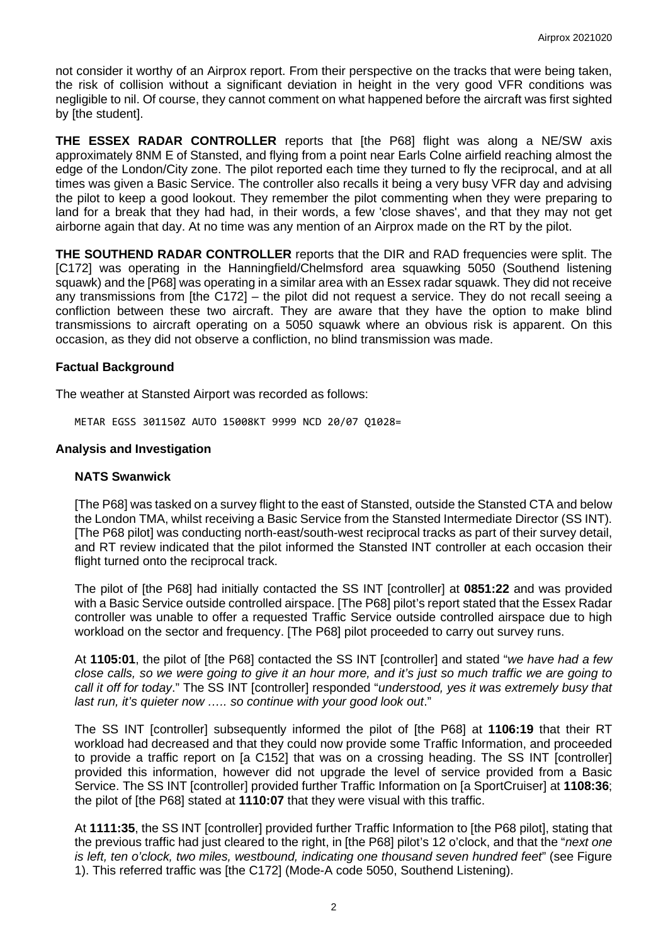not consider it worthy of an Airprox report. From their perspective on the tracks that were being taken, the risk of collision without a significant deviation in height in the very good VFR conditions was negligible to nil. Of course, they cannot comment on what happened before the aircraft was first sighted by [the student].

**THE ESSEX RADAR CONTROLLER** reports that [the P68] flight was along a NE/SW axis approximately 8NM E of Stansted, and flying from a point near Earls Colne airfield reaching almost the edge of the London/City zone. The pilot reported each time they turned to fly the reciprocal, and at all times was given a Basic Service. The controller also recalls it being a very busy VFR day and advising the pilot to keep a good lookout. They remember the pilot commenting when they were preparing to land for a break that they had had, in their words, a few 'close shaves', and that they may not get airborne again that day. At no time was any mention of an Airprox made on the RT by the pilot.

**THE SOUTHEND RADAR CONTROLLER** reports that the DIR and RAD frequencies were split. The [C172] was operating in the Hanningfield/Chelmsford area squawking 5050 (Southend listening squawk) and the [P68] was operating in a similar area with an Essex radar squawk. They did not receive any transmissions from [the C172] – the pilot did not request a service. They do not recall seeing a confliction between these two aircraft. They are aware that they have the option to make blind transmissions to aircraft operating on a 5050 squawk where an obvious risk is apparent. On this occasion, as they did not observe a confliction, no blind transmission was made.

# **Factual Background**

The weather at Stansted Airport was recorded as follows:

METAR EGSS 301150Z AUTO 15008KT 9999 NCD 20/07 Q1028=

# **Analysis and Investigation**

### **NATS Swanwick**

[The P68] was tasked on a survey flight to the east of Stansted, outside the Stansted CTA and below the London TMA, whilst receiving a Basic Service from the Stansted Intermediate Director (SS INT). [The P68 pilot] was conducting north-east/south-west reciprocal tracks as part of their survey detail, and RT review indicated that the pilot informed the Stansted INT controller at each occasion their flight turned onto the reciprocal track.

The pilot of [the P68] had initially contacted the SS INT [controller] at **0851:22** and was provided with a Basic Service outside controlled airspace. [The P68] pilot's report stated that the Essex Radar controller was unable to offer a requested Traffic Service outside controlled airspace due to high workload on the sector and frequency. [The P68] pilot proceeded to carry out survey runs.

At **1105:01**, the pilot of [the P68] contacted the SS INT [controller] and stated "*we have had a few close calls, so we were going to give it an hour more, and it's just so much traffic we are going to call it off for today*." The SS INT [controller] responded "*understood, yes it was extremely busy that last run, it's quieter now ….. so continue with your good look out*."

The SS INT [controller] subsequently informed the pilot of [the P68] at **1106:19** that their RT workload had decreased and that they could now provide some Traffic Information, and proceeded to provide a traffic report on [a C152] that was on a crossing heading. The SS INT [controller] provided this information, however did not upgrade the level of service provided from a Basic Service. The SS INT [controller] provided further Traffic Information on [a SportCruiser] at **1108:36**; the pilot of [the P68] stated at **1110:07** that they were visual with this traffic.

At **1111:35**, the SS INT [controller] provided further Traffic Information to [the P68 pilot], stating that the previous traffic had just cleared to the right, in [the P68] pilot's 12 o'clock, and that the "*next one is left, ten o'clock, two miles, westbound, indicating one thousand seven hundred feet*" (see Figure 1). This referred traffic was [the C172] (Mode-A code 5050, Southend Listening).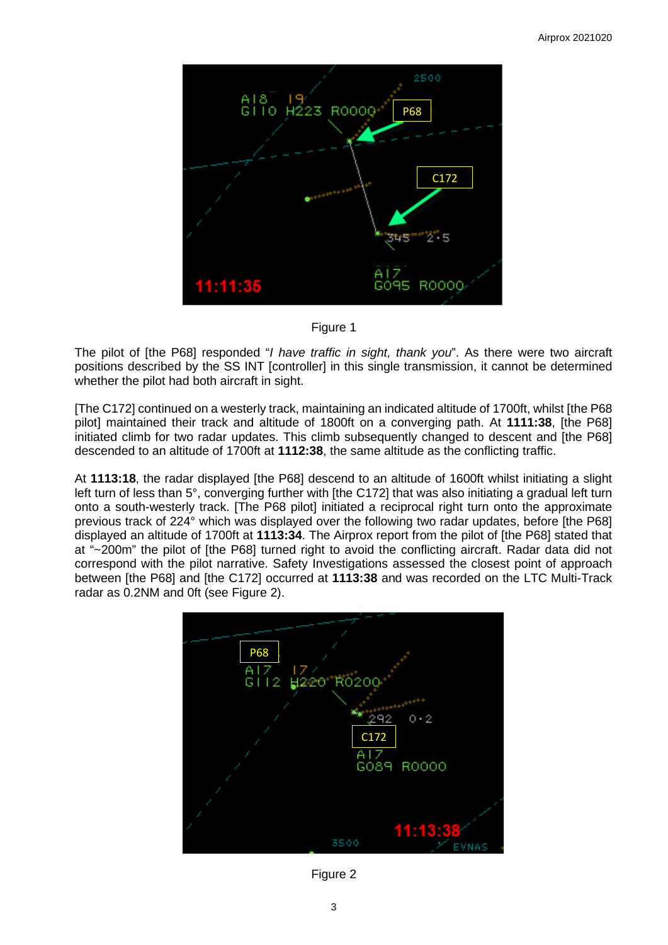

Figure 1

The pilot of [the P68] responded "*I have traffic in sight, thank you*". As there were two aircraft positions described by the SS INT [controller] in this single transmission, it cannot be determined whether the pilot had both aircraft in sight.

[The C172] continued on a westerly track, maintaining an indicated altitude of 1700ft, whilst [the P68 pilot] maintained their track and altitude of 1800ft on a converging path. At **1111:38**, [the P68] initiated climb for two radar updates. This climb subsequently changed to descent and [the P68] descended to an altitude of 1700ft at **1112:38**, the same altitude as the conflicting traffic.

At **1113:18**, the radar displayed [the P68] descend to an altitude of 1600ft whilst initiating a slight left turn of less than 5°, converging further with [the C172] that was also initiating a gradual left turn onto a south-westerly track. [The P68 pilot] initiated a reciprocal right turn onto the approximate previous track of 224° which was displayed over the following two radar updates, before [the P68] displayed an altitude of 1700ft at **1113:34**. The Airprox report from the pilot of [the P68] stated that at "~200m" the pilot of [the P68] turned right to avoid the conflicting aircraft. Radar data did not correspond with the pilot narrative. Safety Investigations assessed the closest point of approach between [the P68] and [the C172] occurred at **1113:38** and was recorded on the LTC Multi-Track radar as 0.2NM and 0ft (see Figure 2).



Figure 2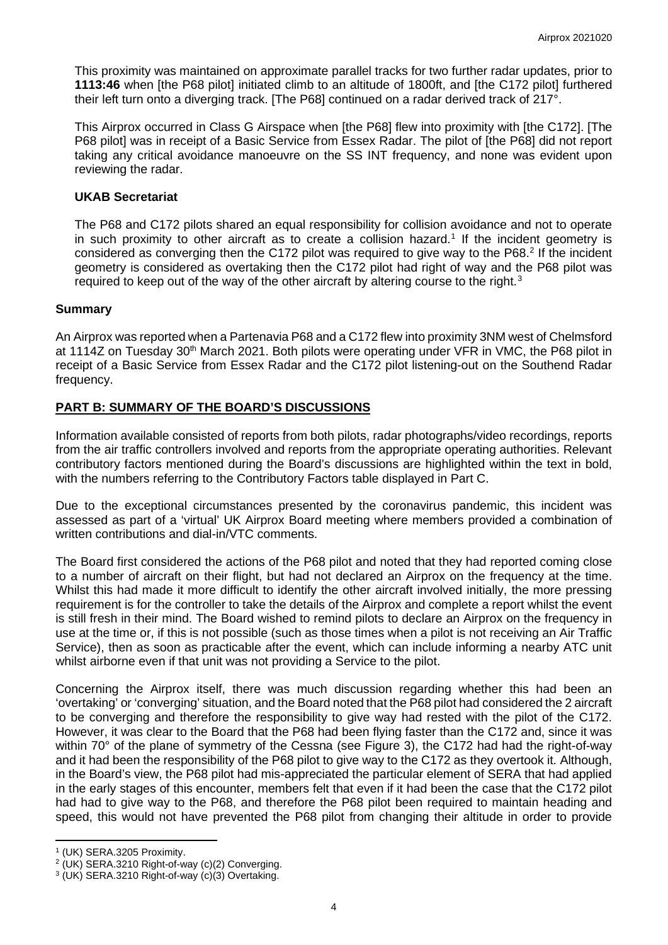This proximity was maintained on approximate parallel tracks for two further radar updates, prior to **1113:46** when [the P68 pilot] initiated climb to an altitude of 1800ft, and [the C172 pilot] furthered their left turn onto a diverging track. [The P68] continued on a radar derived track of 217°.

This Airprox occurred in Class G Airspace when [the P68] flew into proximity with [the C172]. [The P68 pilot] was in receipt of a Basic Service from Essex Radar. The pilot of [the P68] did not report taking any critical avoidance manoeuvre on the SS INT frequency, and none was evident upon reviewing the radar.

#### **UKAB Secretariat**

The P68 and C172 pilots shared an equal responsibility for collision avoidance and not to operate in such proximity to other aircraft as to create a collision hazard. [1](#page-3-0) If the incident geometry is considered as converging then the C172 pilot was required to give way to the P68. [2](#page-3-1) If the incident geometry is considered as overtaking then the C172 pilot had right of way and the P68 pilot was required to keep out of the way of the other aircraft by altering course to the right. $3$ 

#### **Summary**

An Airprox was reported when a Partenavia P68 and a C172 flew into proximity 3NM west of Chelmsford at 1114Z on Tuesday 30<sup>th</sup> March 2021. Both pilots were operating under VFR in VMC, the P68 pilot in receipt of a Basic Service from Essex Radar and the C172 pilot listening-out on the Southend Radar frequency.

# **PART B: SUMMARY OF THE BOARD'S DISCUSSIONS**

Information available consisted of reports from both pilots, radar photographs/video recordings, reports from the air traffic controllers involved and reports from the appropriate operating authorities. Relevant contributory factors mentioned during the Board's discussions are highlighted within the text in bold, with the numbers referring to the Contributory Factors table displayed in Part C.

Due to the exceptional circumstances presented by the coronavirus pandemic, this incident was assessed as part of a 'virtual' UK Airprox Board meeting where members provided a combination of written contributions and dial-in/VTC comments.

The Board first considered the actions of the P68 pilot and noted that they had reported coming close to a number of aircraft on their flight, but had not declared an Airprox on the frequency at the time. Whilst this had made it more difficult to identify the other aircraft involved initially, the more pressing requirement is for the controller to take the details of the Airprox and complete a report whilst the event is still fresh in their mind. The Board wished to remind pilots to declare an Airprox on the frequency in use at the time or, if this is not possible (such as those times when a pilot is not receiving an Air Traffic Service), then as soon as practicable after the event, which can include informing a nearby ATC unit whilst airborne even if that unit was not providing a Service to the pilot.

Concerning the Airprox itself, there was much discussion regarding whether this had been an 'overtaking' or 'converging' situation, and the Board noted that the P68 pilot had considered the 2 aircraft to be converging and therefore the responsibility to give way had rested with the pilot of the C172. However, it was clear to the Board that the P68 had been flying faster than the C172 and, since it was within 70° of the plane of symmetry of the Cessna (see Figure 3), the C172 had had the right-of-way and it had been the responsibility of the P68 pilot to give way to the C172 as they overtook it. Although, in the Board's view, the P68 pilot had mis-appreciated the particular element of SERA that had applied in the early stages of this encounter, members felt that even if it had been the case that the C172 pilot had had to give way to the P68, and therefore the P68 pilot been required to maintain heading and speed, this would not have prevented the P68 pilot from changing their altitude in order to provide

<span id="page-3-0"></span><sup>1</sup> (UK) SERA.3205 Proximity.

<span id="page-3-1"></span><sup>2</sup> (UK) SERA.3210 Right-of-way (c)(2) Converging.

<span id="page-3-2"></span><sup>3</sup> (UK) SERA.3210 Right-of-way (c)(3) Overtaking.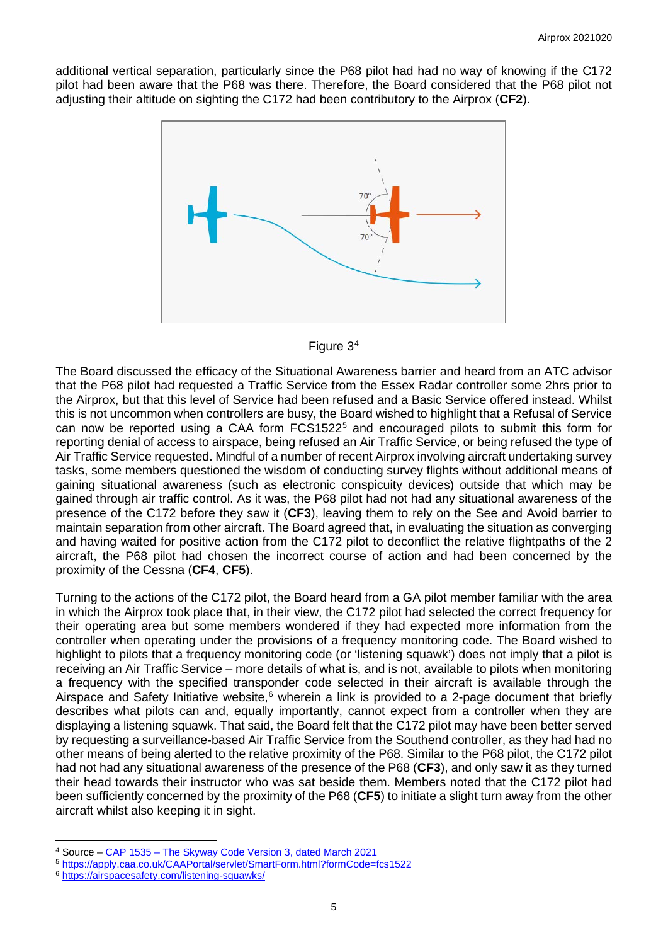additional vertical separation, particularly since the P68 pilot had had no way of knowing if the C172 pilot had been aware that the P68 was there. Therefore, the Board considered that the P68 pilot not adjusting their altitude on sighting the C172 had been contributory to the Airprox (**CF2**).





The Board discussed the efficacy of the Situational Awareness barrier and heard from an ATC advisor that the P68 pilot had requested a Traffic Service from the Essex Radar controller some 2hrs prior to the Airprox, but that this level of Service had been refused and a Basic Service offered instead. Whilst this is not uncommon when controllers are busy, the Board wished to highlight that a Refusal of Service can now be reported using a CAA form FCS1[5](#page-4-1)22<sup>5</sup> and encouraged pilots to submit this form for reporting denial of access to airspace, being refused an Air Traffic Service, or being refused the type of Air Traffic Service requested. Mindful of a number of recent Airprox involving aircraft undertaking survey tasks, some members questioned the wisdom of conducting survey flights without additional means of gaining situational awareness (such as electronic conspicuity devices) outside that which may be gained through air traffic control. As it was, the P68 pilot had not had any situational awareness of the presence of the C172 before they saw it (**CF3**), leaving them to rely on the See and Avoid barrier to maintain separation from other aircraft. The Board agreed that, in evaluating the situation as converging and having waited for positive action from the C172 pilot to deconflict the relative flightpaths of the 2 aircraft, the P68 pilot had chosen the incorrect course of action and had been concerned by the proximity of the Cessna (**CF4**, **CF5**).

Turning to the actions of the C172 pilot, the Board heard from a GA pilot member familiar with the area in which the Airprox took place that, in their view, the C172 pilot had selected the correct frequency for their operating area but some members wondered if they had expected more information from the controller when operating under the provisions of a frequency monitoring code. The Board wished to highlight to pilots that a frequency monitoring code (or 'listening squawk') does not imply that a pilot is receiving an Air Traffic Service – more details of what is, and is not, available to pilots when monitoring a frequency with the specified transponder code selected in their aircraft is available through the Airspace and Safety Initiative website,<sup>[6](#page-4-2)</sup> wherein a link is provided to a 2-page document that briefly describes what pilots can and, equally importantly, cannot expect from a controller when they are displaying a listening squawk. That said, the Board felt that the C172 pilot may have been better served by requesting a surveillance-based Air Traffic Service from the Southend controller, as they had had no other means of being alerted to the relative proximity of the P68. Similar to the P68 pilot, the C172 pilot had not had any situational awareness of the presence of the P68 (**CF3**), and only saw it as they turned their head towards their instructor who was sat beside them. Members noted that the C172 pilot had been sufficiently concerned by the proximity of the P68 (**CF5**) to initiate a slight turn away from the other aircraft whilst also keeping it in sight.

<span id="page-4-2"></span><sup>6</sup> <https://airspacesafety.com/listening-squawks/>

<span id="page-4-0"></span><sup>4</sup> Source – CAP 1535 – [The Skyway Code Version 3, dated March 2021](https://publicapps.caa.co.uk/docs/33/CAP1535S%20Skyway%20Code%20Version%203.pdf)

<span id="page-4-1"></span><sup>5</sup> <https://apply.caa.co.uk/CAAPortal/servlet/SmartForm.html?formCode=fcs1522>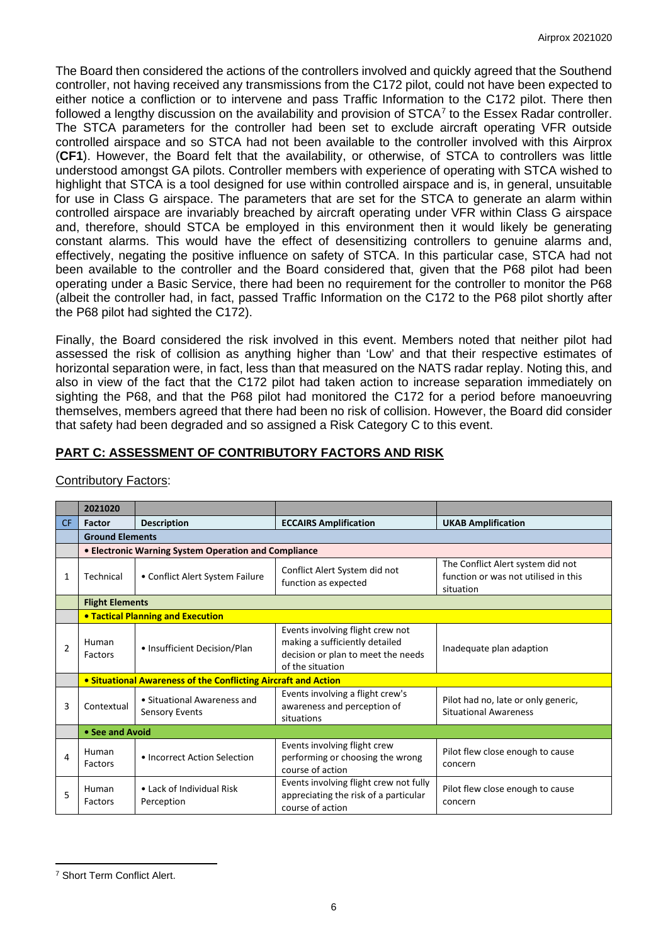The Board then considered the actions of the controllers involved and quickly agreed that the Southend controller, not having received any transmissions from the C172 pilot, could not have been expected to either notice a confliction or to intervene and pass Traffic Information to the C172 pilot. There then followed a lengthy discussion on the availability and provision of  $STCA<sup>7</sup>$  $STCA<sup>7</sup>$  $STCA<sup>7</sup>$  to the Essex Radar controller. The STCA parameters for the controller had been set to exclude aircraft operating VFR outside controlled airspace and so STCA had not been available to the controller involved with this Airprox (**CF1**). However, the Board felt that the availability, or otherwise, of STCA to controllers was little understood amongst GA pilots. Controller members with experience of operating with STCA wished to highlight that STCA is a tool designed for use within controlled airspace and is, in general, unsuitable for use in Class G airspace. The parameters that are set for the STCA to generate an alarm within controlled airspace are invariably breached by aircraft operating under VFR within Class G airspace and, therefore, should STCA be employed in this environment then it would likely be generating constant alarms. This would have the effect of desensitizing controllers to genuine alarms and, effectively, negating the positive influence on safety of STCA. In this particular case, STCA had not been available to the controller and the Board considered that, given that the P68 pilot had been operating under a Basic Service, there had been no requirement for the controller to monitor the P68 (albeit the controller had, in fact, passed Traffic Information on the C172 to the P68 pilot shortly after the P68 pilot had sighted the C172).

Finally, the Board considered the risk involved in this event. Members noted that neither pilot had assessed the risk of collision as anything higher than 'Low' and that their respective estimates of horizontal separation were, in fact, less than that measured on the NATS radar replay. Noting this, and also in view of the fact that the C172 pilot had taken action to increase separation immediately on sighting the P68, and that the P68 pilot had monitored the C172 for a period before manoeuvring themselves, members agreed that there had been no risk of collision. However, the Board did consider that safety had been degraded and so assigned a Risk Category C to this event.

# **PART C: ASSESSMENT OF CONTRIBUTORY FACTORS AND RISK**

|                | 2021020                                                        |                                                      |                                                                                                                              |                                                                                        |  |  |  |
|----------------|----------------------------------------------------------------|------------------------------------------------------|------------------------------------------------------------------------------------------------------------------------------|----------------------------------------------------------------------------------------|--|--|--|
| CF.            | <b>Factor</b>                                                  | <b>Description</b>                                   | <b>ECCAIRS Amplification</b>                                                                                                 | <b>UKAB Amplification</b>                                                              |  |  |  |
|                | <b>Ground Elements</b>                                         |                                                      |                                                                                                                              |                                                                                        |  |  |  |
|                | • Electronic Warning System Operation and Compliance           |                                                      |                                                                                                                              |                                                                                        |  |  |  |
| 1              | Technical                                                      | • Conflict Alert System Failure                      | Conflict Alert System did not<br>function as expected                                                                        | The Conflict Alert system did not<br>function or was not utilised in this<br>situation |  |  |  |
|                | <b>Flight Elements</b>                                         |                                                      |                                                                                                                              |                                                                                        |  |  |  |
|                |                                                                | <b>• Tactical Planning and Execution</b>             |                                                                                                                              |                                                                                        |  |  |  |
| $\mathfrak{p}$ | Human<br>Factors                                               | • Insufficient Decision/Plan                         | Events involving flight crew not<br>making a sufficiently detailed<br>decision or plan to meet the needs<br>of the situation | Inadequate plan adaption                                                               |  |  |  |
|                | • Situational Awareness of the Conflicting Aircraft and Action |                                                      |                                                                                                                              |                                                                                        |  |  |  |
| 3              | Contextual                                                     | • Situational Awareness and<br><b>Sensory Events</b> | Events involving a flight crew's<br>awareness and perception of<br>situations                                                | Pilot had no, late or only generic,<br><b>Situational Awareness</b>                    |  |  |  |
|                | • See and Avoid                                                |                                                      |                                                                                                                              |                                                                                        |  |  |  |
| 4              | Human<br>Factors                                               | • Incorrect Action Selection                         | Events involving flight crew<br>performing or choosing the wrong<br>course of action                                         | Pilot flew close enough to cause<br>concern                                            |  |  |  |
| 5              | Human<br>Factors                                               | • Lack of Individual Risk<br>Perception              | Events involving flight crew not fully<br>appreciating the risk of a particular<br>course of action                          | Pilot flew close enough to cause<br>concern                                            |  |  |  |

# Contributory Factors:

<span id="page-5-0"></span><sup>7</sup> Short Term Conflict Alert.